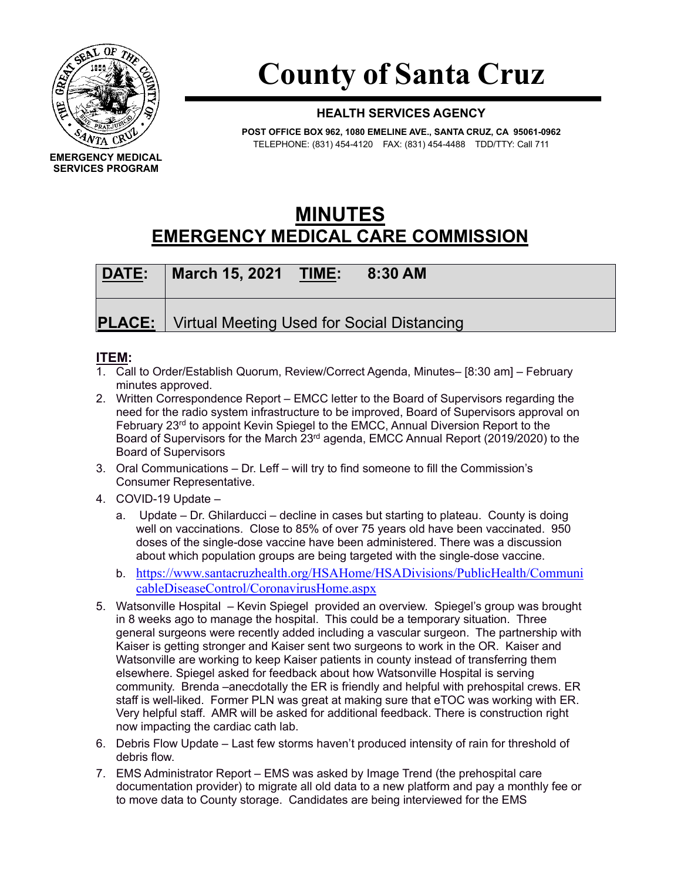

## **County of Santa Cruz**

## **HEALTH SERVICES AGENCY**

**POST OFFICE BOX 962, 1080 EMELINE AVE., SANTA CRUZ, CA 95061-0962** TELEPHONE: (831) 454-4120 FAX: (831) 454-4488 TDD/TTY: Call 711

## **MINUTES EMERGENCY MEDICAL CARE COMMISSION**

| DATE: | <b>March 15, 2021 TIME:</b><br>8:30 AM                     |  |
|-------|------------------------------------------------------------|--|
|       | <b>PLACE:</b>   Virtual Meeting Used for Social Distancing |  |

## **ITEM:**

- 1. Call to Order/Establish Quorum, Review/Correct Agenda, Minutes– [8:30 am] February minutes approved.
- 2. Written Correspondence Report EMCC letter to the Board of Supervisors regarding the need for the radio system infrastructure to be improved, Board of Supervisors approval on February 23<sup>rd</sup> to appoint Kevin Spiegel to the EMCC, Annual Diversion Report to the Board of Supervisors for the March  $23<sup>rd</sup>$  agenda, EMCC Annual Report (2019/2020) to the Board of Supervisors
- 3. Oral Communications Dr. Leff will try to find someone to fill the Commission's Consumer Representative.
- 4. COVID-19 Update
	- a. Update Dr. Ghilarducci decline in cases but starting to plateau. County is doing well on vaccinations. Close to 85% of over 75 years old have been vaccinated. 950 doses of the single-dose vaccine have been administered. There was a discussion about which population groups are being targeted with the single-dose vaccine.
	- b. [https://www.santacruzhealth.org/HSAHome/HSADivisions/PublicHealth/Communi](https://www.santacruzhealth.org/HSAHome/HSADivisions/PublicHealth/CommunicableDiseaseControl/CoronavirusHome.aspx) [cableDiseaseControl/CoronavirusHome.aspx](https://www.santacruzhealth.org/HSAHome/HSADivisions/PublicHealth/CommunicableDiseaseControl/CoronavirusHome.aspx)
- 5. Watsonville Hospital Kevin Spiegel provided an overview. Spiegel's group was brought in 8 weeks ago to manage the hospital. This could be a temporary situation. Three general surgeons were recently added including a vascular surgeon. The partnership with Kaiser is getting stronger and Kaiser sent two surgeons to work in the OR. Kaiser and Watsonville are working to keep Kaiser patients in county instead of transferring them elsewhere. Spiegel asked for feedback about how Watsonville Hospital is serving community. Brenda –anecdotally the ER is friendly and helpful with prehospital crews. ER staff is well-liked. Former PLN was great at making sure that eTOC was working with ER. Very helpful staff. AMR will be asked for additional feedback. There is construction right now impacting the cardiac cath lab.
- 6. Debris Flow Update Last few storms haven't produced intensity of rain for threshold of debris flow.
- 7. EMS Administrator Report EMS was asked by Image Trend (the prehospital care documentation provider) to migrate all old data to a new platform and pay a monthly fee or to move data to County storage. Candidates are being interviewed for the EMS

**EMERGENCY MEDICAL SERVICES PROGRAM**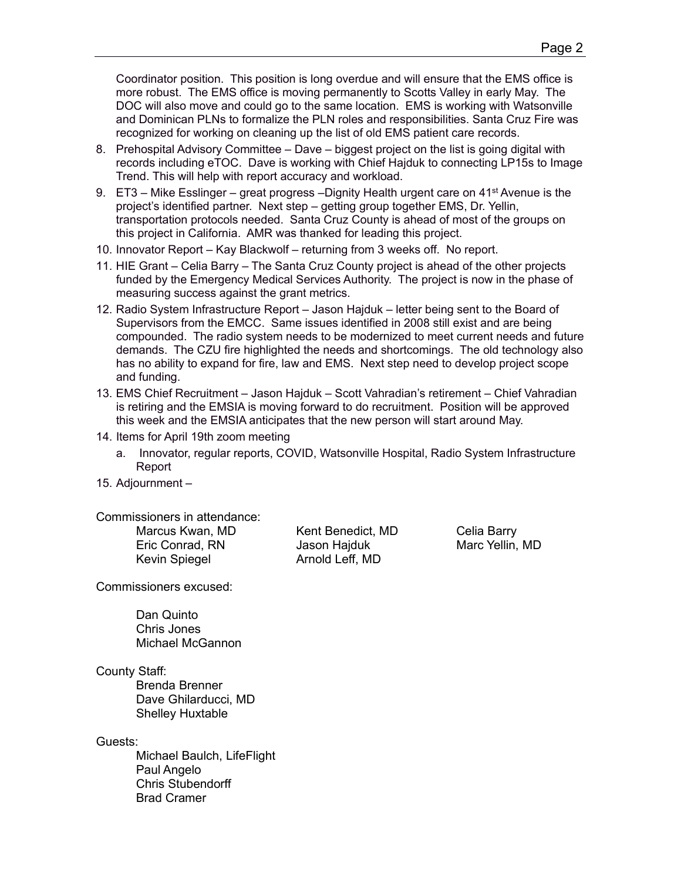Coordinator position. This position is long overdue and will ensure that the EMS office is more robust. The EMS office is moving permanently to Scotts Valley in early May. The DOC will also move and could go to the same location. EMS is working with Watsonville and Dominican PLNs to formalize the PLN roles and responsibilities. Santa Cruz Fire was recognized for working on cleaning up the list of old EMS patient care records.

- 8. Prehospital Advisory Committee Dave biggest project on the list is going digital with records including eTOC. Dave is working with Chief Hajduk to connecting LP15s to Image Trend. This will help with report accuracy and workload.
- 9.  $ET3 -$  Mike Esslinger great progress Dignity Health urgent care on 41<sup>st</sup> Avenue is the project's identified partner. Next step – getting group together EMS, Dr. Yellin, transportation protocols needed. Santa Cruz County is ahead of most of the groups on this project in California. AMR was thanked for leading this project.
- 10. Innovator Report Kay Blackwolf returning from 3 weeks off. No report.
- 11. HIE Grant Celia Barry The Santa Cruz County project is ahead of the other projects funded by the Emergency Medical Services Authority. The project is now in the phase of measuring success against the grant metrics.
- 12. Radio System Infrastructure Report Jason Hajduk letter being sent to the Board of Supervisors from the EMCC. Same issues identified in 2008 still exist and are being compounded. The radio system needs to be modernized to meet current needs and future demands. The CZU fire highlighted the needs and shortcomings. The old technology also has no ability to expand for fire, law and EMS. Next step need to develop project scope and funding.
- 13. EMS Chief Recruitment Jason Hajduk Scott Vahradian's retirement Chief Vahradian is retiring and the EMSIA is moving forward to do recruitment. Position will be approved this week and the EMSIA anticipates that the new person will start around May.
- 14. Items for April 19th zoom meeting
	- a. Innovator, regular reports, COVID, Watsonville Hospital, Radio System Infrastructure Report
- 15. Adjournment –

Commissioners in attendance:

Kevin Spiegel **Arnold Leff, MD** 

Marcus Kwan, MD Kent Benedict, MD Celia Barry Eric Conrad, RN Jason Hajduk Marc Yellin, MD

Commissioners excused:

Dan Quinto Chris Jones Michael McGannon

County Staff:

Brenda Brenner Dave Ghilarducci, MD Shelley Huxtable

Guests:

Michael Baulch, LifeFlight Paul Angelo Chris Stubendorff Brad Cramer